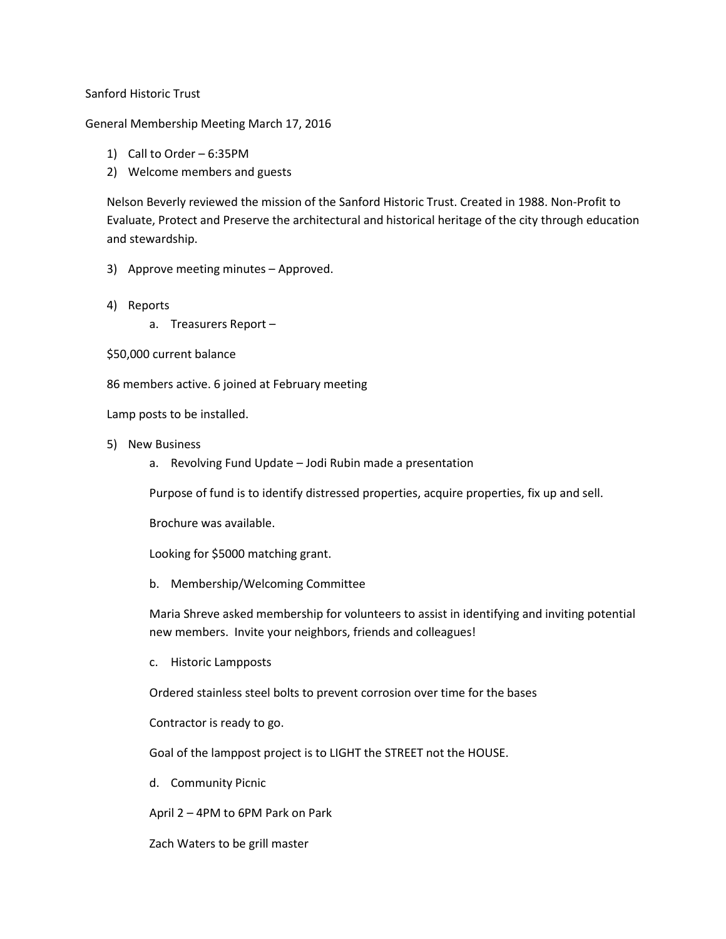## Sanford Historic Trust

## General Membership Meeting March 17, 2016

- 1) Call to Order 6:35PM
- 2) Welcome members and guests

Nelson Beverly reviewed the mission of the Sanford Historic Trust. Created in 1988. Non-Profit to Evaluate, Protect and Preserve the architectural and historical heritage of the city through education and stewardship.

- 3) Approve meeting minutes Approved.
- 4) Reports
	- a. Treasurers Report –
- \$50,000 current balance

86 members active. 6 joined at February meeting

Lamp posts to be installed.

- 5) New Business
	- a. Revolving Fund Update Jodi Rubin made a presentation

Purpose of fund is to identify distressed properties, acquire properties, fix up and sell.

Brochure was available.

Looking for \$5000 matching grant.

b. Membership/Welcoming Committee

Maria Shreve asked membership for volunteers to assist in identifying and inviting potential new members. Invite your neighbors, friends and colleagues!

c. Historic Lampposts

Ordered stainless steel bolts to prevent corrosion over time for the bases

Contractor is ready to go.

Goal of the lamppost project is to LIGHT the STREET not the HOUSE.

d. Community Picnic

April 2 – 4PM to 6PM Park on Park

Zach Waters to be grill master